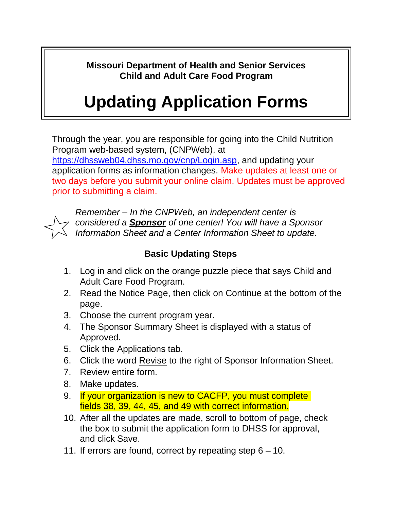**Missouri Department of Health and Senior Services Child and Adult Care Food Program**

## **Updating Application Forms**

Through the year, you are responsible for going into the Child Nutrition Program web-based system, (CNPWeb), at [https://dhssweb04.dhss.mo.gov/cnp/Login.asp,](https://dhssweb04.dhss.mo.gov/cnp/Login.asp) and updating your application forms as information changes. Make updates at least one or two days before you submit your online claim. Updates must be approved prior to submitting a claim.



*Remember – In the CNPWeb, an independent center is considered a Sponsor of one center! You will have a Sponsor Information Sheet and a Center Information Sheet to update.*

## **Basic Updating Steps**

- 1. Log in and click on the orange puzzle piece that says Child and Adult Care Food Program.
- 2. Read the Notice Page, then click on Continue at the bottom of the page.
- 3. Choose the current program year.
- 4. The Sponsor Summary Sheet is displayed with a status of Approved.
- 5. Click the Applications tab.
- 6. Click the word Revise to the right of Sponsor Information Sheet.
- 7. Review entire form.
- 8. Make updates.
- 9. If your organization is new to CACFP, you must complete fields 38, 39, 44, 45, and 49 with correct information.
- 10. After all the updates are made, scroll to bottom of page, check the box to submit the application form to DHSS for approval, and click Save.
- 11. If errors are found, correct by repeating step 6 10.